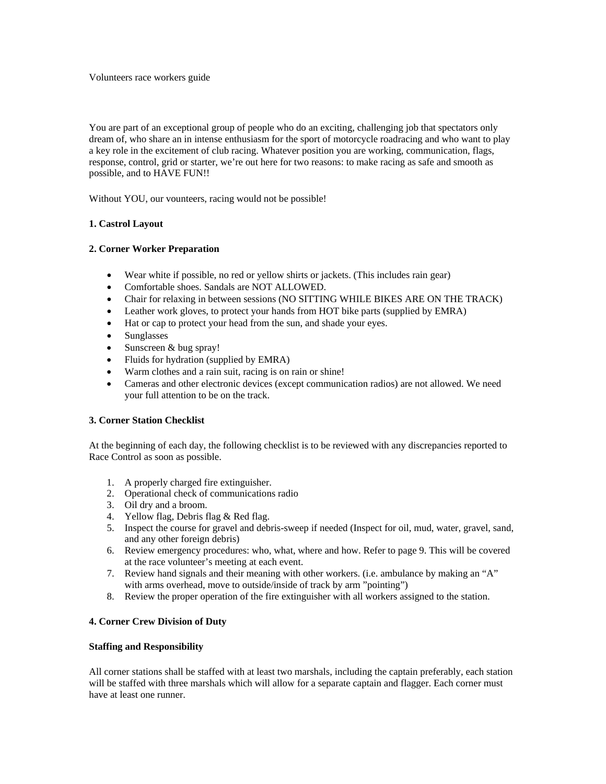You are part of an exceptional group of people who do an exciting, challenging job that spectators only dream of, who share an in intense enthusiasm for the sport of motorcycle roadracing and who want to play a key role in the excitement of club racing. Whatever position you are working, communication, flags, response, control, grid or starter, we're out here for two reasons: to make racing as safe and smooth as possible, and to HAVE FUN!!

Without YOU, our vounteers, racing would not be possible!

# **1. Castrol Layout**

# **2. Corner Worker Preparation**

- Wear white if possible, no red or yellow shirts or jackets. (This includes rain gear)
- Comfortable shoes. Sandals are NOT ALLOWED.
- Chair for relaxing in between sessions (NO SITTING WHILE BIKES ARE ON THE TRACK)
- Leather work gloves, to protect your hands from HOT bike parts (supplied by EMRA)
- Hat or cap to protect your head from the sun, and shade your eyes.
- Sunglasses
- Sunscreen & bug spray!
- Fluids for hydration (supplied by EMRA)
- Warm clothes and a rain suit, racing is on rain or shine!
- Cameras and other electronic devices (except communication radios) are not allowed. We need your full attention to be on the track.

# **3. Corner Station Checklist**

At the beginning of each day, the following checklist is to be reviewed with any discrepancies reported to Race Control as soon as possible.

- 1. A properly charged fire extinguisher.
- 2. Operational check of communications radio
- 3. Oil dry and a broom.
- 4. Yellow flag, Debris flag & Red flag.
- 5. Inspect the course for gravel and debris-sweep if needed (Inspect for oil, mud, water, gravel, sand, and any other foreign debris)
- 6. Review emergency procedures: who, what, where and how. Refer to page 9. This will be covered at the race volunteer's meeting at each event.
- 7. Review hand signals and their meaning with other workers. (i.e. ambulance by making an "A" with arms overhead, move to outside/inside of track by arm "pointing")
- 8. Review the proper operation of the fire extinguisher with all workers assigned to the station.

# **4. Corner Crew Division of Duty**

# **Staffing and Responsibility**

All corner stations shall be staffed with at least two marshals, including the captain preferably, each station will be staffed with three marshals which will allow for a separate captain and flagger. Each corner must have at least one runner.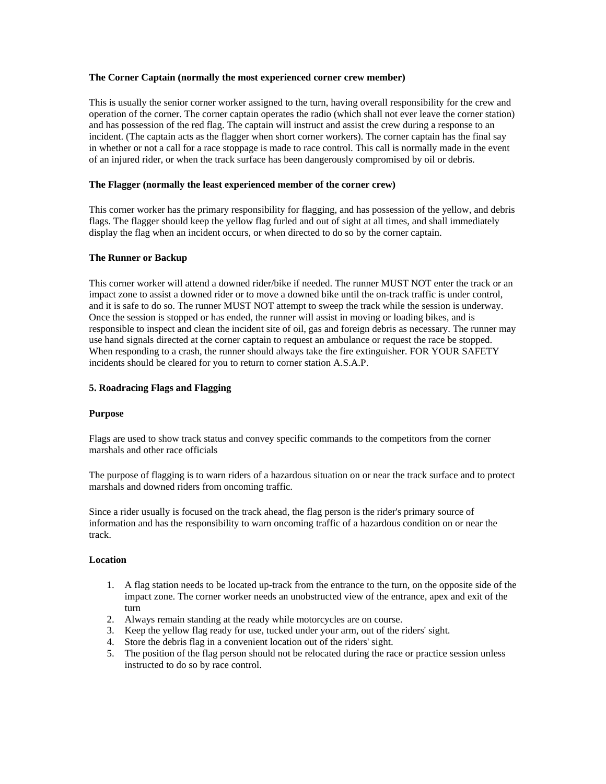### **The Corner Captain (normally the most experienced corner crew member)**

This is usually the senior corner worker assigned to the turn, having overall responsibility for the crew and operation of the corner. The corner captain operates the radio (which shall not ever leave the corner station) and has possession of the red flag. The captain will instruct and assist the crew during a response to an incident. (The captain acts as the flagger when short corner workers). The corner captain has the final say in whether or not a call for a race stoppage is made to race control. This call is normally made in the event of an injured rider, or when the track surface has been dangerously compromised by oil or debris.

### **The Flagger (normally the least experienced member of the corner crew)**

This corner worker has the primary responsibility for flagging, and has possession of the yellow, and debris flags. The flagger should keep the yellow flag furled and out of sight at all times, and shall immediately display the flag when an incident occurs, or when directed to do so by the corner captain.

### **The Runner or Backup**

This corner worker will attend a downed rider/bike if needed. The runner MUST NOT enter the track or an impact zone to assist a downed rider or to move a downed bike until the on-track traffic is under control, and it is safe to do so. The runner MUST NOT attempt to sweep the track while the session is underway. Once the session is stopped or has ended, the runner will assist in moving or loading bikes, and is responsible to inspect and clean the incident site of oil, gas and foreign debris as necessary. The runner may use hand signals directed at the corner captain to request an ambulance or request the race be stopped. When responding to a crash, the runner should always take the fire extinguisher. FOR YOUR SAFETY incidents should be cleared for you to return to corner station A.S.A.P.

### **5. Roadracing Flags and Flagging**

#### **Purpose**

Flags are used to show track status and convey specific commands to the competitors from the corner marshals and other race officials

The purpose of flagging is to warn riders of a hazardous situation on or near the track surface and to protect marshals and downed riders from oncoming traffic.

Since a rider usually is focused on the track ahead, the flag person is the rider's primary source of information and has the responsibility to warn oncoming traffic of a hazardous condition on or near the track.

#### **Location**

- 1. A flag station needs to be located up-track from the entrance to the turn, on the opposite side of the impact zone. The corner worker needs an unobstructed view of the entrance, apex and exit of the turn
- 2. Always remain standing at the ready while motorcycles are on course.
- 3. Keep the yellow flag ready for use, tucked under your arm, out of the riders' sight.
- 4. Store the debris flag in a convenient location out of the riders' sight.
- 5. The position of the flag person should not be relocated during the race or practice session unless instructed to do so by race control.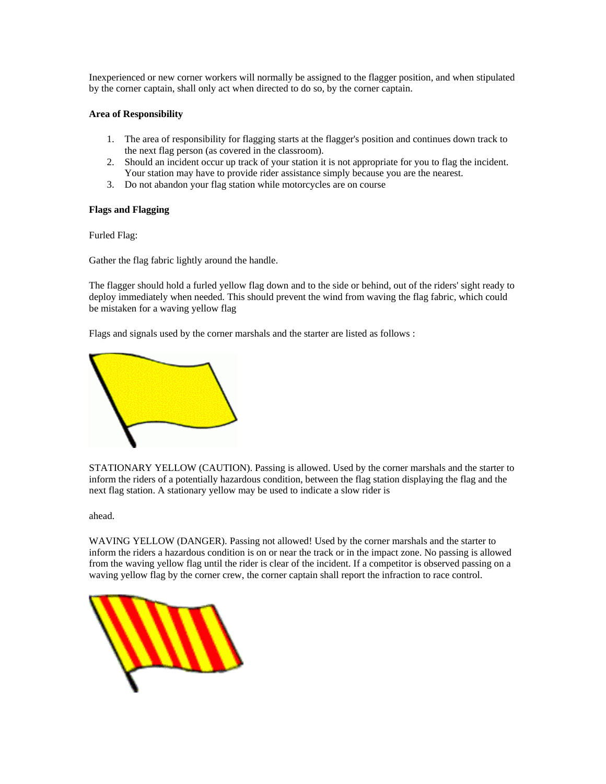Inexperienced or new corner workers will normally be assigned to the flagger position, and when stipulated by the corner captain, shall only act when directed to do so, by the corner captain.

### **Area of Responsibility**

- 1. The area of responsibility for flagging starts at the flagger's position and continues down track to the next flag person (as covered in the classroom).
- 2. Should an incident occur up track of your station it is not appropriate for you to flag the incident. Your station may have to provide rider assistance simply because you are the nearest.
- 3. Do not abandon your flag station while motorcycles are on course

### **Flags and Flagging**

Furled Flag:

Gather the flag fabric lightly around the handle.

The flagger should hold a furled yellow flag down and to the side or behind, out of the riders' sight ready to deploy immediately when needed. This should prevent the wind from waving the flag fabric, which could be mistaken for a waving yellow flag

Flags and signals used by the corner marshals and the starter are listed as follows :



STATIONARY YELLOW (CAUTION). Passing is allowed. Used by the corner marshals and the starter to inform the riders of a potentially hazardous condition, between the flag station displaying the flag and the next flag station. A stationary yellow may be used to indicate a slow rider is

ahead.

WAVING YELLOW (DANGER). Passing not allowed! Used by the corner marshals and the starter to inform the riders a hazardous condition is on or near the track or in the impact zone. No passing is allowed from the waving yellow flag until the rider is clear of the incident. If a competitor is observed passing on a waving yellow flag by the corner crew, the corner captain shall report the infraction to race control.

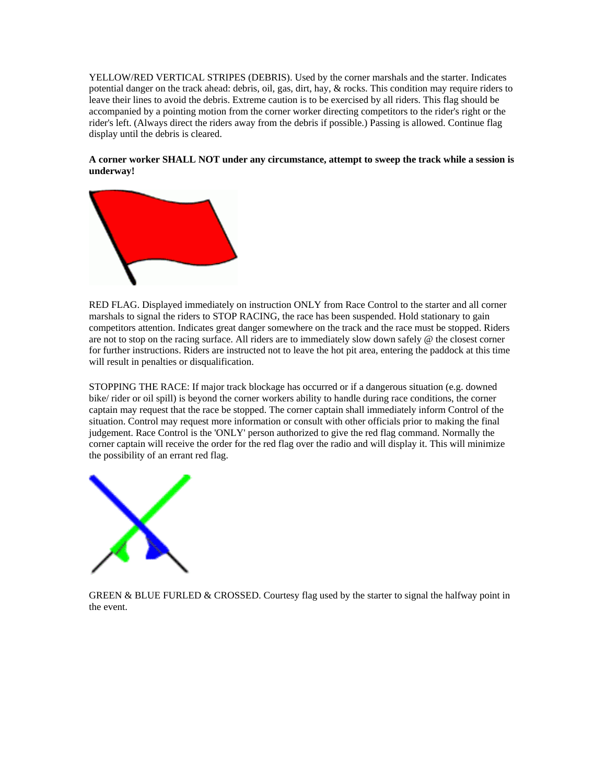YELLOW/RED VERTICAL STRIPES (DEBRIS). Used by the corner marshals and the starter. Indicates potential danger on the track ahead: debris, oil, gas, dirt, hay, & rocks. This condition may require riders to leave their lines to avoid the debris. Extreme caution is to be exercised by all riders. This flag should be accompanied by a pointing motion from the corner worker directing competitors to the rider's right or the rider's left. (Always direct the riders away from the debris if possible.) Passing is allowed. Continue flag display until the debris is cleared.

# **A corner worker SHALL NOT under any circumstance, attempt to sweep the track while a session is underway!**



RED FLAG. Displayed immediately on instruction ONLY from Race Control to the starter and all corner marshals to signal the riders to STOP RACING, the race has been suspended. Hold stationary to gain competitors attention. Indicates great danger somewhere on the track and the race must be stopped. Riders are not to stop on the racing surface. All riders are to immediately slow down safely @ the closest corner for further instructions. Riders are instructed not to leave the hot pit area, entering the paddock at this time will result in penalties or disqualification.

STOPPING THE RACE: If major track blockage has occurred or if a dangerous situation (e.g. downed bike/ rider or oil spill) is beyond the corner workers ability to handle during race conditions, the corner captain may request that the race be stopped. The corner captain shall immediately inform Control of the situation. Control may request more information or consult with other officials prior to making the final judgement. Race Control is the 'ONLY' person authorized to give the red flag command. Normally the corner captain will receive the order for the red flag over the radio and will display it. This will minimize the possibility of an errant red flag.



GREEN  $\&$  BLUE FURLED  $\&$  CROSSED. Courtesy flag used by the starter to signal the halfway point in the event.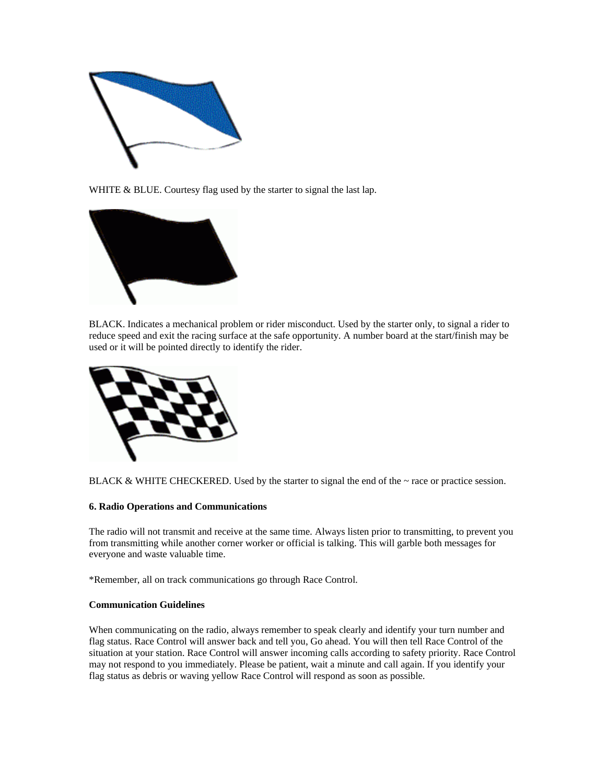

WHITE & BLUE. Courtesy flag used by the starter to signal the last lap.



BLACK. Indicates a mechanical problem or rider misconduct. Used by the starter only, to signal a rider to reduce speed and exit the racing surface at the safe opportunity. A number board at the start/finish may be used or it will be pointed directly to identify the rider.



BLACK  $\&$  WHITE CHECKERED. Used by the starter to signal the end of the  $\sim$  race or practice session.

# **6. Radio Operations and Communications**

The radio will not transmit and receive at the same time. Always listen prior to transmitting, to prevent you from transmitting while another corner worker or official is talking. This will garble both messages for everyone and waste valuable time.

\*Remember, all on track communications go through Race Control.

# **Communication Guidelines**

When communicating on the radio, always remember to speak clearly and identify your turn number and flag status. Race Control will answer back and tell you, Go ahead. You will then tell Race Control of the situation at your station. Race Control will answer incoming calls according to safety priority. Race Control may not respond to you immediately. Please be patient, wait a minute and call again. If you identify your flag status as debris or waving yellow Race Control will respond as soon as possible.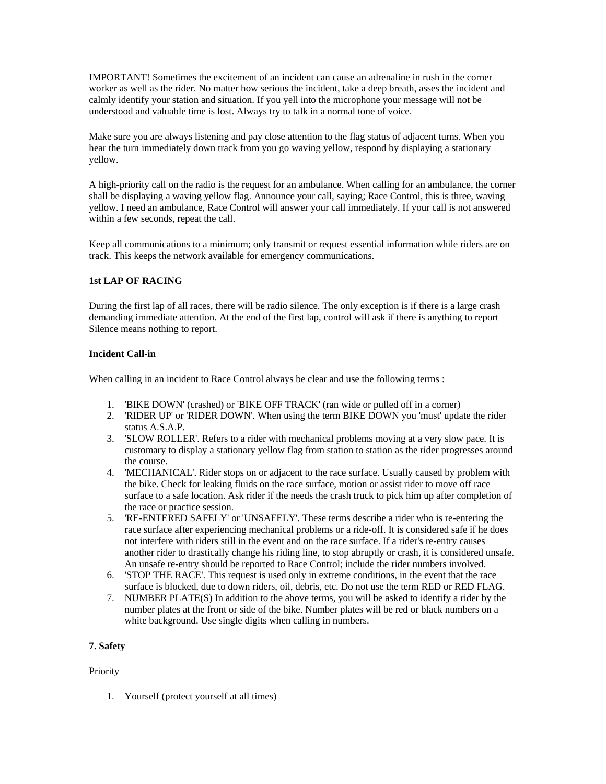IMPORTANT! Sometimes the excitement of an incident can cause an adrenaline in rush in the corner worker as well as the rider. No matter how serious the incident, take a deep breath, asses the incident and calmly identify your station and situation. If you yell into the microphone your message will not be understood and valuable time is lost. Always try to talk in a normal tone of voice.

Make sure you are always listening and pay close attention to the flag status of adjacent turns. When you hear the turn immediately down track from you go waving yellow, respond by displaying a stationary yellow.

A high-priority call on the radio is the request for an ambulance. When calling for an ambulance, the corner shall be displaying a waving yellow flag. Announce your call, saying; Race Control, this is three, waving yellow. I need an ambulance, Race Control will answer your call immediately. If your call is not answered within a few seconds, repeat the call.

Keep all communications to a minimum; only transmit or request essential information while riders are on track. This keeps the network available for emergency communications.

# **1st LAP OF RACING**

During the first lap of all races, there will be radio silence. The only exception is if there is a large crash demanding immediate attention. At the end of the first lap, control will ask if there is anything to report Silence means nothing to report.

# **Incident Call-in**

When calling in an incident to Race Control always be clear and use the following terms :

- 1. 'BIKE DOWN' (crashed) or 'BIKE OFF TRACK' (ran wide or pulled off in a corner)
- 2. 'RIDER UP' or 'RIDER DOWN'. When using the term BIKE DOWN you 'must' update the rider status A.S.A.P.
- 3. 'SLOW ROLLER'. Refers to a rider with mechanical problems moving at a very slow pace. It is customary to display a stationary yellow flag from station to station as the rider progresses around the course.
- 4. 'MECHANICAL'. Rider stops on or adjacent to the race surface. Usually caused by problem with the bike. Check for leaking fluids on the race surface, motion or assist rider to move off race surface to a safe location. Ask rider if the needs the crash truck to pick him up after completion of the race or practice session.
- 5. 'RE-ENTERED SAFELY' or 'UNSAFELY'. These terms describe a rider who is re-entering the race surface after experiencing mechanical problems or a ride-off. It is considered safe if he does not interfere with riders still in the event and on the race surface. If a rider's re-entry causes another rider to drastically change his riding line, to stop abruptly or crash, it is considered unsafe. An unsafe re-entry should be reported to Race Control; include the rider numbers involved.
- 6. 'STOP THE RACE'. This request is used only in extreme conditions, in the event that the race surface is blocked, due to down riders, oil, debris, etc. Do not use the term RED or RED FLAG.
- 7. NUMBER PLATE(S) In addition to the above terms, you will be asked to identify a rider by the number plates at the front or side of the bike. Number plates will be red or black numbers on a white background. Use single digits when calling in numbers.

# **7. Safety**

# **Priority**

1. Yourself (protect yourself at all times)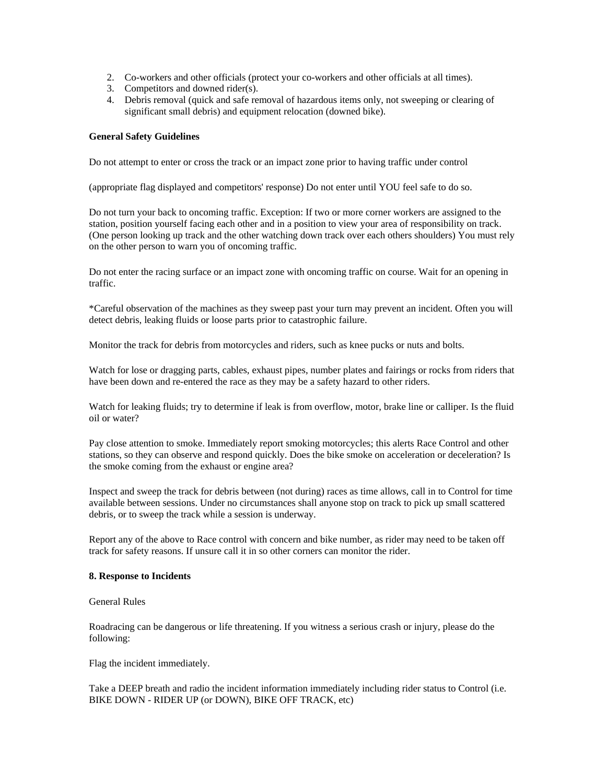- 2. Co-workers and other officials (protect your co-workers and other officials at all times).
- 3. Competitors and downed rider(s).
- 4. Debris removal (quick and safe removal of hazardous items only, not sweeping or clearing of significant small debris) and equipment relocation (downed bike).

### **General Safety Guidelines**

Do not attempt to enter or cross the track or an impact zone prior to having traffic under control

(appropriate flag displayed and competitors' response) Do not enter until YOU feel safe to do so.

Do not turn your back to oncoming traffic. Exception: If two or more corner workers are assigned to the station, position yourself facing each other and in a position to view your area of responsibility on track. (One person looking up track and the other watching down track over each others shoulders) You must rely on the other person to warn you of oncoming traffic.

Do not enter the racing surface or an impact zone with oncoming traffic on course. Wait for an opening in traffic.

\*Careful observation of the machines as they sweep past your turn may prevent an incident. Often you will detect debris, leaking fluids or loose parts prior to catastrophic failure.

Monitor the track for debris from motorcycles and riders, such as knee pucks or nuts and bolts.

Watch for lose or dragging parts, cables, exhaust pipes, number plates and fairings or rocks from riders that have been down and re-entered the race as they may be a safety hazard to other riders.

Watch for leaking fluids; try to determine if leak is from overflow, motor, brake line or calliper. Is the fluid oil or water?

Pay close attention to smoke. Immediately report smoking motorcycles; this alerts Race Control and other stations, so they can observe and respond quickly. Does the bike smoke on acceleration or deceleration? Is the smoke coming from the exhaust or engine area?

Inspect and sweep the track for debris between (not during) races as time allows, call in to Control for time available between sessions. Under no circumstances shall anyone stop on track to pick up small scattered debris, or to sweep the track while a session is underway.

Report any of the above to Race control with concern and bike number, as rider may need to be taken off track for safety reasons. If unsure call it in so other corners can monitor the rider.

#### **8. Response to Incidents**

General Rules

Roadracing can be dangerous or life threatening. If you witness a serious crash or injury, please do the following:

Flag the incident immediately.

Take a DEEP breath and radio the incident information immediately including rider status to Control (i.e. BIKE DOWN - RIDER UP (or DOWN), BIKE OFF TRACK, etc)